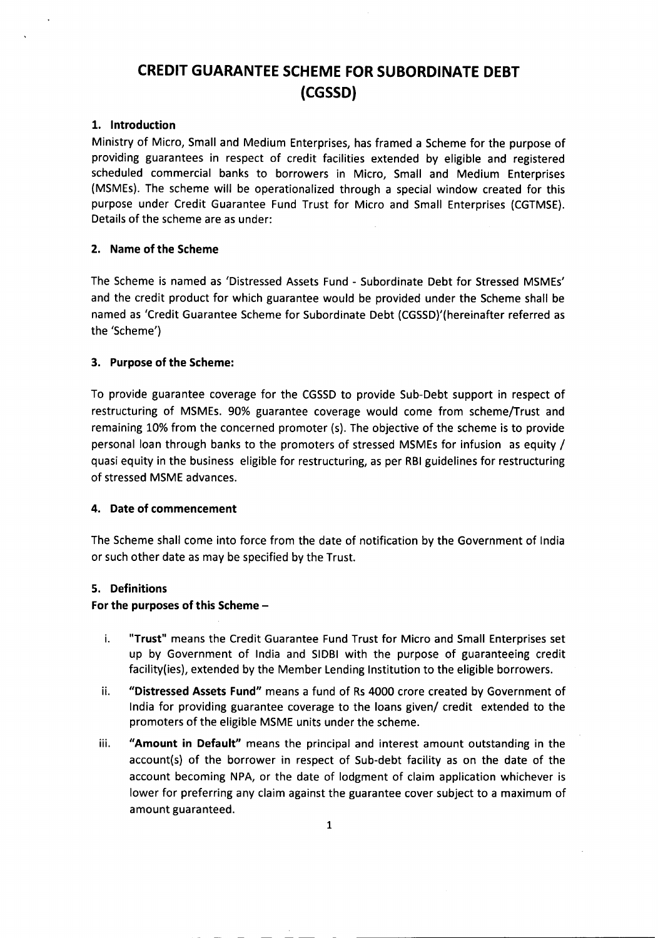# **CREDIT GUARANTEE SCHEME FOR SUBORDINATE DEBT (CGSSD)**

## 1. Introduction

Ministry of Micro, Small and Medium Enterprises, has framed a Scheme for the purpose of providing guarantees in respect of credit facilities extended by eligible and registered scheduled commercial banks to borrowers in Micro, Small and Medium Enterprises (MSMEs). The scheme will be operationalized through a special window created for this purpose under Credit Guarantee Fund Trust for Micro and Small Enterprises (CGTMSE). Details of the scheme are as under:

## 2. Name of the Scheme

The Scheme is named as 'Distressed Assets Fund - Subordinate Debt for Stressed MSMEs' and the credit product for which guarantee would be provided under the Scheme shall be named as 'Credit Guarantee Scheme for Subordinate Debt (CGSSD)'(hereinafter referred as the 'Scheme')

## 3. Purpose of the Scheme:

To provide guarantee coverage for the CGSSD to provide Sub-Debt support in respect of restructuring of MSMEs. 90% guarantee coverage would come from scheme/Trust and remaining 10% from the concerned promoter (s). The objective of the scheme is to provide personal loan through banks to the promoters of stressed MSMEs for infusion as equity / quasi equity in the business eligible for restructuring, as per RBIguidelines for restructuring of stressed MSME advances.

# 4. Date of commencement

The Scheme shall come into force from the date of notification by the Government of India or such other date as may be specified by the Trust.

#### S. Definitions

---------- -- -- -

## For the purposes of this Scheme -

- i. "Trust" means the Credit Guarantee Fund Trust for Micro and Small Enterprises set up by Government of India and SIDBI with the purpose of guaranteeing credit facility(ies), extended by the Member Lending Institution to the eligible borrowers.
- ii. "Distressed Assets Fund" means a fund of Rs 4000 crore created by Government of India for providing guarantee coverage to the loans given/ credit extended to the promoters of the eligible MSME units under the scheme.
- iii. "Amount in Default" means the principal and interest amount outstanding in the account(s) of the borrower in respect of Sub-debt facility as on the date of the account becoming NPA, or the date of lodgment of claim application whichever is lower for preferring any claim against the guarantee cover subject to a maximum of amount guaranteed.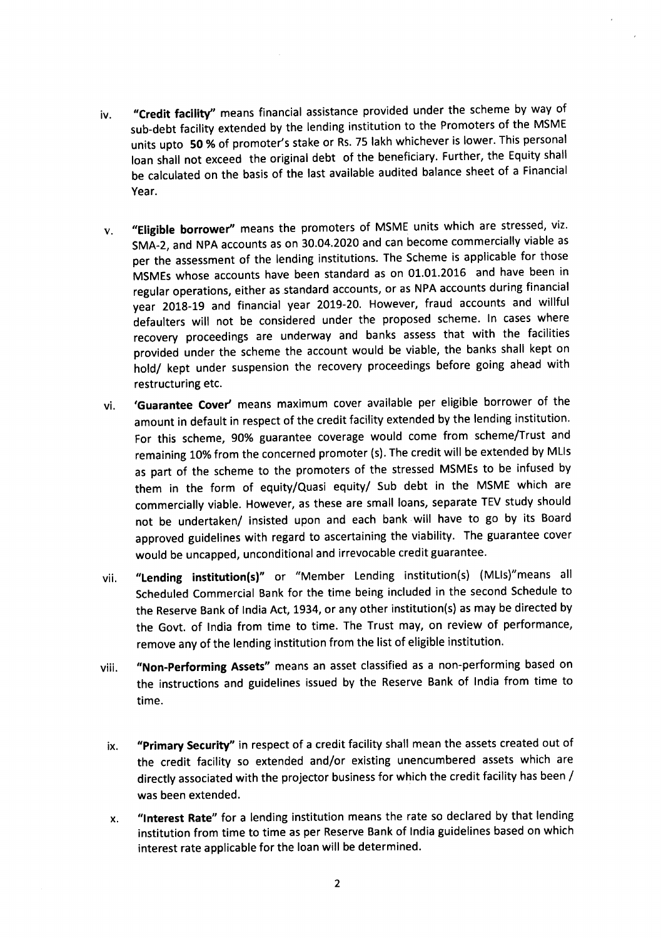- iv. **"Credit facility"** means financial assistance provided under the scheme by way of sub-debt facility extended by the lending institution to the Promoters of the MSME units upto **50** % of promoter's stake or Rs.75 lakh whichever is lower. This personal loan shall not exceed the original debt of the beneficiary. Further, the Equity shall be calculated on the basis of the last available audited balance sheet of a Financial Year.
- v. **"Eligible borrower"** means the promoters of MSME units which are stressed, viz. SMA-2, and NPA accounts as on 30.04.2020 and can become commercially viable as per the assessment of the lending institutions. The Scheme is applicable for those MSMEs whose accounts have been standard as on 01.01.2016 and have been in regular operations, either as standard accounts, or as NPA accounts during financial year 2018-19 and financial year 2019-20. However, fraud accounts and willful defaulters will not be considered under the proposed scheme. In cases where recovery proceedings are underway and banks assess that with the facilities provided under the scheme the account would be viable, the banks shall kept on hold/ kept under suspension the recovery proceedings before going ahead with restructuring etc.
- vi. **'Guarantee Cover'** means maximum cover available per eligible borrower of the amount in default in respect of the credit facility extended by the lending institution. For this scheme, 90% guarantee coverage would come from scheme/Trust and remaining 10% from the concerned promoter (s). The credit will be extended by MLIs as part of the scheme to the promoters of the stressed MSMEs to be infused by them in the form of equity/Quasi equity/ Sub debt in the MSME which are commercially viable. However, as these are small loans, separate TEV study should not be undertaken/ insisted upon and each bank will have to go by its Board approved guidelines with regard to ascertaining the viability. The guarantee cover would be uncapped, unconditional and irrevocable credit guarantee.
- vii. **"Lending institution(s)"** or "Member Lending institution(s) (MUs)"means all Scheduled Commercial Bank for the time being included in the second Schedule to the Reserve Bank of India Act, 1934, or any other institution(s) as may be directed by the Govt. of India from time to time. The Trust may, on review of performance, remove any of the lending institution from the list of eligible institution.
- viii. **"Non-Performing Assets"** means an asset classified as a non-performing based on the instructions and guidelines issued by the Reserve Bank of India from time to time.
	- ix. **"Primary Security"** in respect of a credit facility shall mean the assets created out of the credit facility so extended and/or existing unencumbered assets which are directly associated with the projector business for which the credit facility has been / was been extended.
	- x. **"Interest Rate"** for a lending institution means the rate so declared by that lending institution from time to time as per Reserve Bank of India guidelines based on which interest rate applicable for the loan will be determined.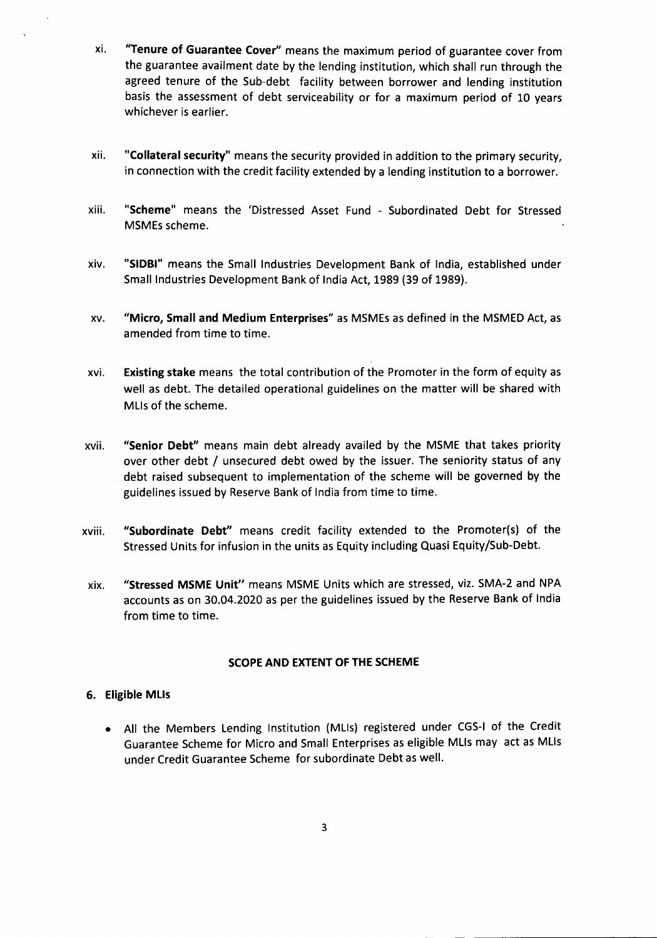- xi. "Tenure of Guarantee Cover" means the maximum period of guarantee cover from the guarantee availment date by the lending institution, which shall run through the agreed tenure of the Sub-debt facility between borrower and lending institution basis the assessment of debt serviceability or for a maximum period of 10 years whichever is earlier.
- xii. "Collateral security" means the security provided in addition to the primary security, in connection with the credit facility extended by a lending institution to a borrower.
- xiii. "Scheme" means the 'Distressed Asset Fund Subordinated Debt for Stressed MSMEs scheme.
- xiv. "SIOBI" means the Small Industries Development Bank of India, established under Small Industries Development Bank of India Act, 1989 (39 of 1989).
- xv. "Micro, Small and Medium Enterprises" as MSMEsas defined in the MSMED Act, as amended from time to time.
- xvi. Existing stake means the total contribution of the Promoter in the form of equity as well as debt. The detailed operational guidelines on the matter will be shared with MUs of the scheme.
- xvii. "Senior Debt" means main debt already availed by the MSME that takes priority over other debt / unsecured debt owed by the issuer. The seniority status of any debt raised subsequent to implementation of the scheme will be governed by the guidelines issued by Reserve Bankof India from time to time.
- xviii. "Subordinate Debt" means credit facility extended to the Promoter(s) of the Stressed Units for infusion in the units as Equity including Quasi Equity/Sub-Debt.
- xix. "Stressed MSME Unit" means MSME Units which are stressed, viz. SMA-2 and NPA accounts as on 30.04.2020 as per the guidelines issued by the Reserve Bank of India from time to time.

# SCOPE AND EXTENT OF THE SCHEME

# 6. Eligible MUs

• All the Members Lending Institution (MUs) registered under CGS-I of the Credit Guarantee Scheme for Micro and Small Enterprises as eligible MUs may act as MUs under Credit Guarantee Scheme for subordinate Debt as well.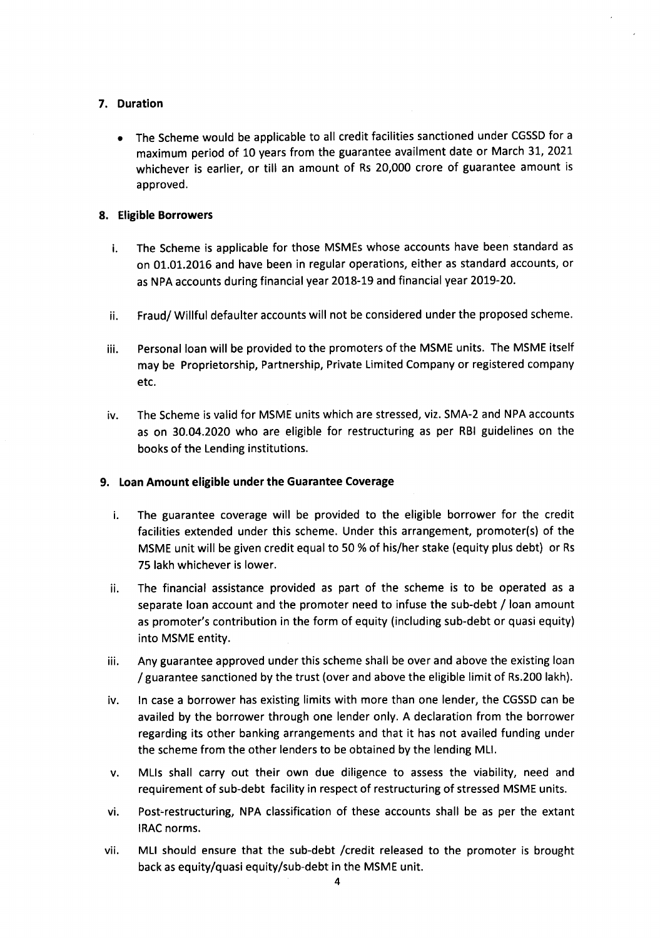# 7. Duration

• The Scheme would be applicable to all credit facilities sanctioned under CGSSD for a maximum period of 10 years from the guarantee availment date or March 31, 2021 whichever is earlier, or till an amount of Rs 20,000 crore of guarantee amount is approved.

# 8. Eligible Borrowers

- i. The Scheme is applicable for those MSMEs whose accounts have been standard as on 01.01.2016 and have been in regular operations, either as standard accounts, or as NPAaccounts during financial year 2018-19 and financial year 2019-20.
- ii. Fraud/ Willful defaulter accounts will not be considered under the proposed scheme.
- iii. Personal loan will be provided to the promoters of the MSME units. The MSME itself may be Proprietorship, Partnership, Private Limited Company or registered company etc.
- iv. The Scheme is valid for MSME units which are stressed, viz. SMA-2 and NPA accounts as on 30.04.2020 who are eligible for restructuring as per RBI guidelines on the books of the Lending institutions.

# 9. Loan Amount eligible under the Guarantee Coverage

- i. The guarantee coverage will be provided to the eligible borrower for the credit facilities extended under this scheme. Under this arrangement, promoter(s) of the MSME unit will be given credit equal to 50 % of his/her stake (equity plus debt) or Rs 75 lakh whichever is lower.
- ii. The financial assistance provided as part of the scheme is to be operated as a separate loan account and the promoter need to infuse the sub-debt / loan amount as promoter's contribution in the form of equity (including sub-debt or quasi equity) into MSME entity.
- iii. Any guarantee approved under this scheme shall be over and above the existing loan / guarantee sanctioned by the trust (over and above the eligible limit of Rs.200lakh).
- iv. In case a borrower has existing limits with more than one lender, the CGSSD can be availed by the borrower through one lender only. A declaration from the borrower regarding its other banking arrangements and that it has not availed funding under the scheme from the other lenders to be obtained by the lending MU.
- v. MUs shall carry out their own due diligence to assess the viability, need and requirement of sub-debt facility in respect of restructuring of stressed MSME units.
- vi. Post-restructuring, NPA classification of these accounts shall be as per the extant IRAC norms.
- vii. MLI should ensure that the sub-debt /credit released to the promoter is brought back as equity/quasi equity/sub-debt in the MSME unit.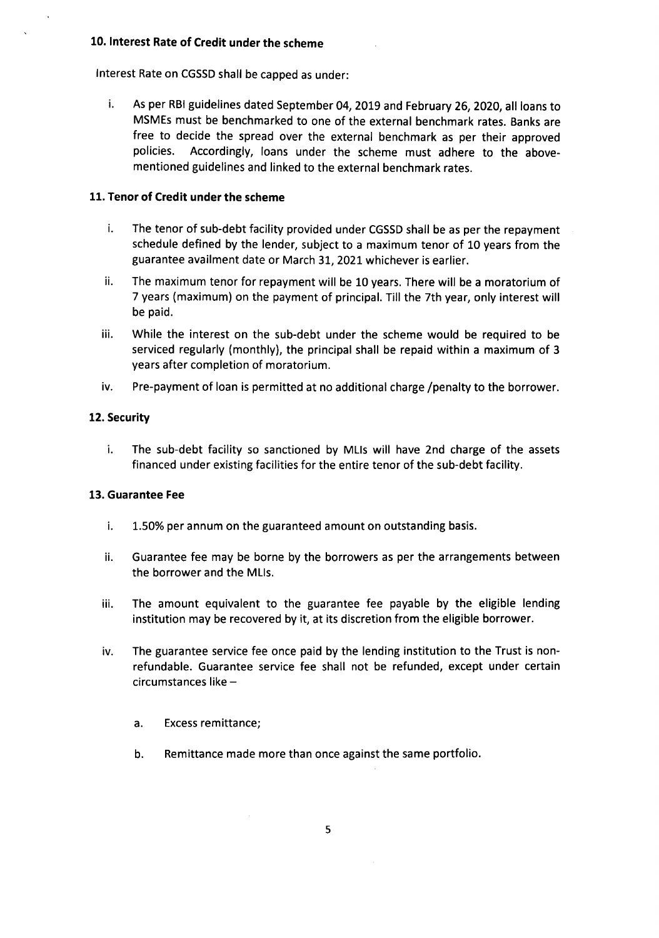# 10. Interest Rate of Credit under the scheme

Interest Rate on CGSSD shall be capped as under:

i. As per RBIguidelines dated September 04, 2019 and February 26, 2020, all loans to MSMEs must be benchmarked to one of the external benchmark rates. Banks are free to decide the spread over the external benchmark as per their approved policies. Accordingly, loans under the scheme must adhere to the abovementioned guidelines and linked to the external benchmark rates.

# 11. Tenor of Credit under the scheme

- i. The tenor of sub-debt facility provided under CGSSD shall be as per the repayment schedule defined by the lender, subject to a maximum tenor of 10 years from the guarantee availment date or March 31, 2021 whichever is earlier.
- ii. The maximum tenor for repayment will be 10 years. There will be a moratorium of 7 years (maximum) on the payment of principal. Till the 7th year, only interest will be paid.
- iii. While the interest on the sub-debt under the scheme would be required to be serviced regularly (monthly), the principal shall be repaid within a maximum of 3 years after completion of moratorium.
- iv. Pre-payment of loan is permitted at no additional charge /penalty to the borrower.

# 12. Security

i. The sub-debt facility so sanctioned by MUs will have 2nd charge of the assets financed under existing facilities for the entire tenor of the sub-debt facility.

# 13. Guarantee Fee

- i. 1.50% per annum on the guaranteed amount on outstanding basis.
- ii. Guarantee fee may be borne by the borrowers as per the arrangements between the borrower and the MUs.
- iii. The amount equivalent to the guarantee fee payable by the eligible lending institution may be recovered by it, at its discretion from the eligible borrower.
- iv. The guarantee service fee once paid by the lending institution to the Trust is nonrefundable. Guarantee service fee shall not be refunded, except under certain circumstances like
	- a. Excess remittance;
	- b. Remittance made more than once against the same portfolio.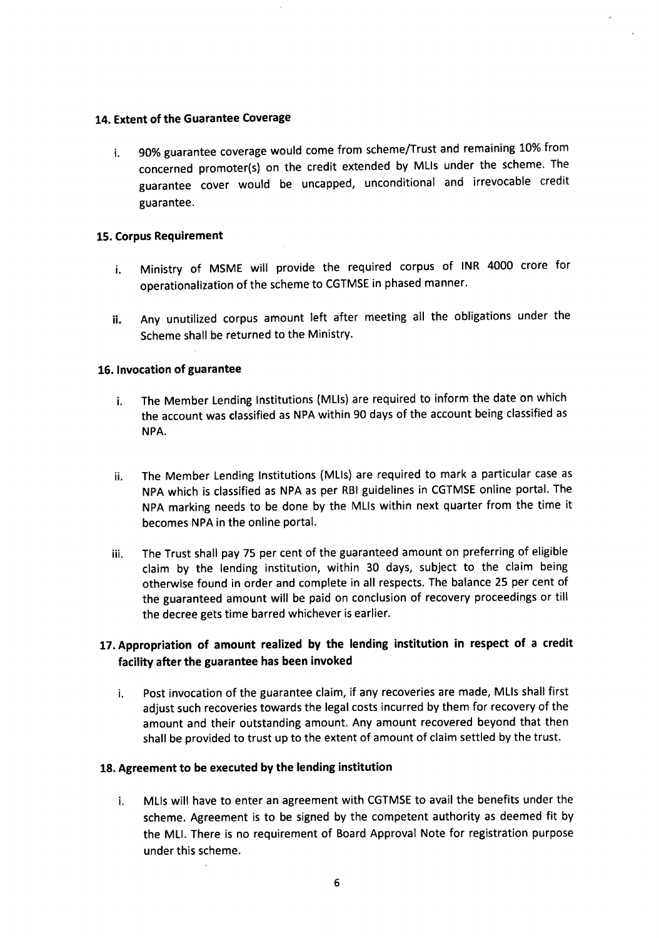# 14. Extent of the Guarantee Coverage

i. 90% guarantee coverage would come from scheme/Trust and remaining 10% from concerned promoter(s) on the credit extended by MUs under the scheme. The guarantee cover would be uncapped, unconditional and irrevocable credit guarantee.

## 15. Corpus Requirement

- i. Ministry of MSME will provide the required corpus of INR 4000 crore for operationalization of the scheme to CGTMSEin phased manner.
- ii. Any unutilized corpus amount left after meeting all the obligations under the Scheme shall be returned to the Ministry.

### 16. Invocation of guarantee

- i. The Member Lending Institutions (MLIs) are required to inform the date on which the account was classified as NPA within 90 days of the account being classified as NPA.
- ii. The Member Lending Institutions (MLIs) are required to mark a particular case as NPA which is classified as NPA as per RBI guidelines in CGTMSE online portal. The NPA marking needs to be done by the MUs within next quarter from the time it becomes NPAin the online portal.
- iii. The Trust shall pay 75 per cent of the guaranteed amount on preferring of eligible claim by the lending institution, within 30 days, subject to the claim being otherwise found in order and complete in all respects. The balance 25 per cent of the guaranteed amount will be paid on conclusion of recovery proceedings or till the decree gets time barred whichever is earlier.

# 17. Appropriation of amount realized by the lending institution in respect of a credit facility after the guarantee has been invoked

i. Post invocation of the guarantee claim, if any recoveries are made, MUs shall first adjust such recoveries towards the legal costs incurred by them for recovery of the amount and their outstanding amount. Any amount recovered beyond that then shall be provided to trust up to the extent of amount of claim settled by the trust.

# 18. Agreement to be executed by the lending institution

i. MLIs will have to enter an agreement with CGTMSE to avail the benefits under the scheme. Agreement is to be signed by the competent authority as deemed fit by the MU. There is no requirement of Board Approval Note for registration purpose under this scheme.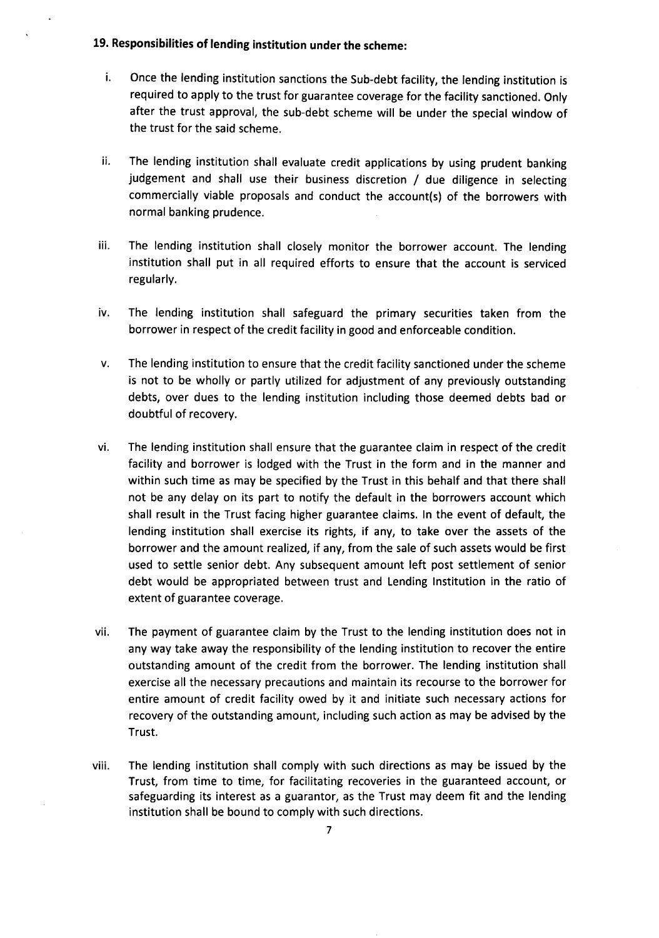# 19. Responsibilities of lending institution under the scheme:

- i. Once the lending institution sanctions the Sub-debt facility, the lending institution is required to apply to the trust for guarantee coverage for the facility sanctioned. Only after the trust approval, the sub-debt scheme will be under the special window of the trust for the said scheme.
- ii. The lending institution shall evaluate credit applications by using prudent banking judgement and shall use their business discretion / due diligence in selecting commercially viable proposals and conduct the account(s) of the borrowers with normal banking prudence.
- iii. The lending institution shall closely monitor the borrower account. The lending institution shall put in all required efforts to ensure that the account is serviced regularly.
- iv. The lending institution shall safeguard the primary securities taken from the borrower in respect of the credit facility in good and enforceable condition.
- v. The lending institution to ensure that the credit facility sanctioned under the scheme is not to be wholly or partly utilized for adjustment of any previously outstanding debts, over dues to the lending institution including those deemed debts bad or doubtful of recovery.
- vi. The lending institution shall ensure that the guarantee claim in respect of the credit facility and borrower is lodged with the Trust in the form and in the manner and within such time as may be specified by the Trust in this behalf and that there shall not be any delay on its part to notify the default in the borrowers account which shall result in the Trust facing higher guarantee claims. In the event of default, the lending institution shall exercise its rights, if any, to take over the assets of the borrower and the amount realized, if any, from the sale of such assets would be first used to settle senior debt. Any subsequent amount left post settlement of senior debt would be appropriated between trust and Lending Institution in the ratio of extent of guarantee coverage.
- vii. The payment of guarantee claim by the Trust to the lending institution does not in any way take away the responsibility of the lending institution to recover the entire outstanding amount of the credit from the borrower. The lending institution shall exercise all the necessary precautions and maintain its recourse to the borrower for entire amount of credit facility owed by it and initiate such necessary actions for recovery of the outstanding amount, including such action as may be advised by the Trust.
- viii. The lending institution shall comply with such directions as may be issued by the Trust, from time to time, for facilitating recoveries in the guaranteed account, or safeguarding its interest as a guarantor, as the Trust may deem fit and the lending institution shall be bound to comply with such directions.

7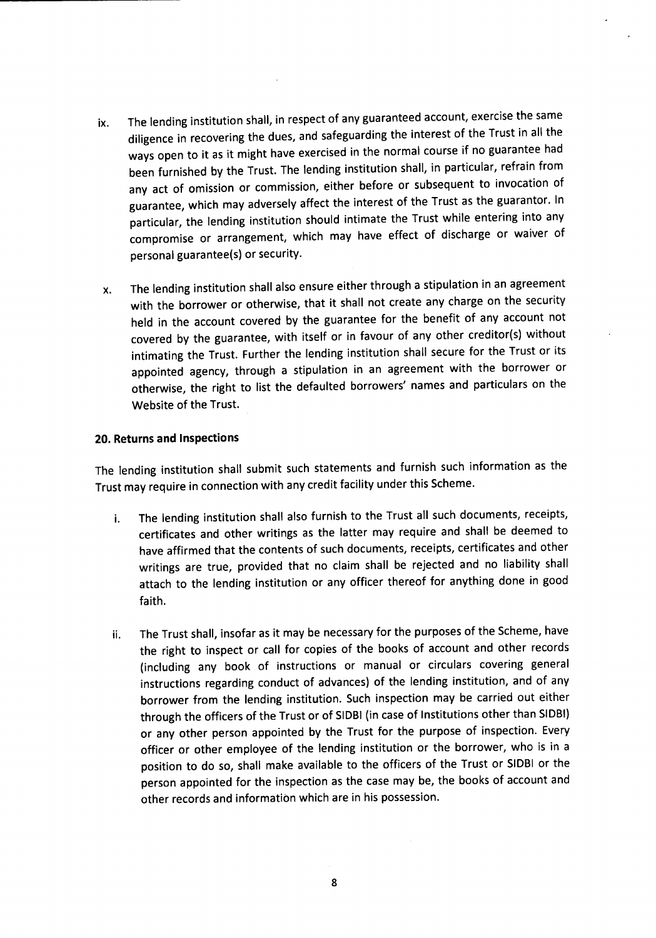- ix. The lending institution shall, in respect of any guaranteed account, exercise the same diligence in recovering the dues, and safeguarding the interest of the Trust in all the ways open to it as it might have exercised in the normal course if no guarantee had been furnished by the Trust. The lending institution shall, in particular, refrain from any act of omission or commission, either before or subsequent to invocation of guarantee, which may adversely affect the interest of the Trust as the guarantor. In particular, the lending institution should intimate the Trust while entering into any compromise or arrangement, which may have effect of discharge or waiver of personal guarantee(s) or security.
- x. The lending institution shall also ensure either through a stipulation in an agreement with the borrower or otherwise, that it shall not create any charge on the security held in the account covered by the guarantee for the benefit of any account not covered by the guarantee, with itself or in favour of any other creditor(s) without intimating the Trust. Further the lending institution shall secure for the Trust or its appointed agency, through a stipulation in an agreement with the borrower or otherwise, the right to list the defaulted borrowers' names and particulars on the Website of the Trust.

## **20. Returns and Inspections**

The lending institution shall submit such statements and furnish such information as the Trust may require in connection with any credit facility under this Scheme.

- i. The lending institution shall also furnish to the Trust all such documents, receipts, certificates and other writings as the latter may require and shall be deemed to have affirmed that the contents of such documents, receipts, certificates and other writings are true, provided that no claim shall be rejected and no liability shall attach to the lending institution or any officer thereof for anything done in good faith.
- ii. The Trust shall, insofar as it may be necessary for the purposes of the Scheme, have the right to inspect or call for copies of the books of account and other records (including any book of instructions or manual or circulars covering general instructions regarding conduct of advances) of the lending institution, and of any borrower from the lending institution. Such inspection may be carried out either through the officers of the Trust or of SIDBI(in caseof Institutions other than SIOBI) or any other person appointed by the Trust for the purpose of inspection. Every officer or other employee of the lending institution or the borrower, who is in a position to do so, shall make available to the officers of the Trust or SIDBI or the person appointed for the inspection as the case may be, the books of account and other records and information which are in his possession.